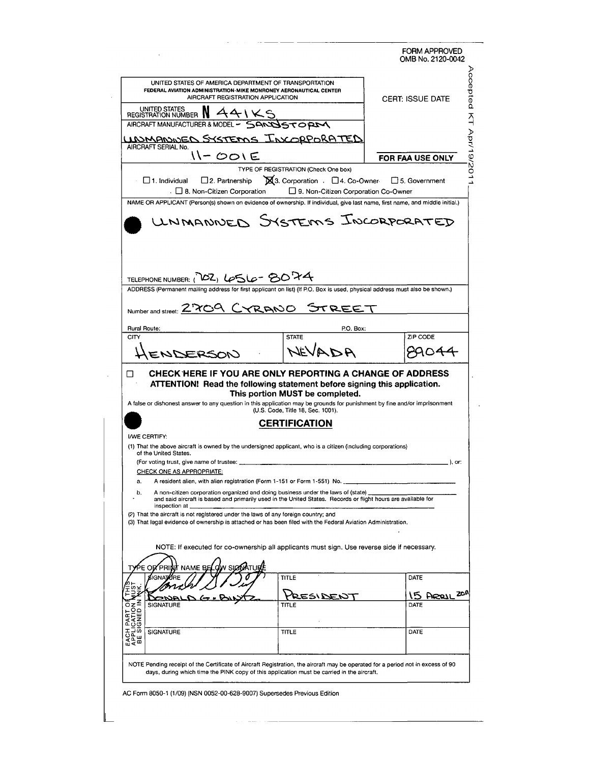|                                                                                    | UNITED STATES OF AMERICA DEPARTMENT OF TRANSPORTATION<br>FEDERAL AVIATION ADMINISTRATION-MIKE MONRONEY AERONAUTICAL CENTER<br>AIRCRAFT REGISTRATION APPLICATION                   | <b>CERT: ISSUE DATE</b> |
|------------------------------------------------------------------------------------|-----------------------------------------------------------------------------------------------------------------------------------------------------------------------------------|-------------------------|
| UNITED STATES NATION<br>AIRCRAFT MANUFACTURER & MODEL - SANJSTOPIN                 |                                                                                                                                                                                   |                         |
| AIRCRAFT SERIAL No.                                                                | UNMANNEN SYSTEMS INCORPORATED                                                                                                                                                     |                         |
| 11-001E                                                                            |                                                                                                                                                                                   | <b>FOR FAA USE ONLY</b> |
| $\Box$ 1. Individual<br>$\Box$ 2. Partnership<br>. □ 8. Non-Citizen Corporation    | TYPE OF REGISTRATION (Check One box)<br>■ 3. Corporation . □ 4. Co-Owner<br>□ 9. Non-Citizen Corporation Co-Owner                                                                 | $\Box$ 5. Government    |
|                                                                                    | NAME OR APPLICANT (Person(s) shown on evidence of ownership. If individual, give last name, first name, and middle initial.)                                                      |                         |
| TELEPHONE NUMBER: ( 102) LOSLO-8074<br>Number and street: Z709 CYRANO              | ADDRESS (Permanent mailing address for first applicant on list) (If P.O. Box is used, physical address must also be shown.)<br>STREE                                              |                         |
| Rural Route:                                                                       | P.O. Box:                                                                                                                                                                         |                         |
|                                                                                    |                                                                                                                                                                                   |                         |
| CITY                                                                               | <b>STATE</b>                                                                                                                                                                      | ZIP CODE                |
| ENDERSON<br>П                                                                      | NEVADA<br>CHECK HERE IF YOU ARE ONLY REPORTING A CHANGE OF ADDRESS<br>ATTENTION! Read the following statement before signing this application.<br>This portion MUST be completed. |                         |
|                                                                                    | A false or dishonest answer to any question in this application may be grounds for punishment by fine and/or imprisonment<br>(U.S. Code, Title 18, Sec. 1001).<br>CERTIFICATION   |                         |
| <b>I/WE CERTIFY:</b>                                                               |                                                                                                                                                                                   |                         |
|                                                                                    | (1) That the above aircraft is owned by the undersigned applicant, who is a citizen (including corporations)                                                                      |                         |
| of the United States.<br>(For voting trust, give name of trustee:                  |                                                                                                                                                                                   |                         |
| <b>CHECK ONE AS APPROPRIATE:</b>                                                   |                                                                                                                                                                                   |                         |
| a.<br>b.                                                                           | A resident alien, with alien registration (Form 1-151 or Form 1-551) No.<br>A non-citizen corporation organized and doing business under the laws of (state)                      |                         |
| inspection at                                                                      | and said aircraft is based and primarily used in the United States. Records or flight hours are available for                                                                     |                         |
| (2) That the aircraft is not registered under the laws of any foreign country; and | (3) That legal evidence of ownership is attached or has been filed with the Federal Aviation Administration.                                                                      |                         |
|                                                                                    | NOTE: If executed for co-ownership all applicants must sign. Use reverse side if necessary.                                                                                       |                         |
| ี N SIGNI<br>NAME BE                                                               |                                                                                                                                                                                   |                         |
| SIGNA.                                                                             | TITLE                                                                                                                                                                             | DATE                    |
|                                                                                    | <b>BERIDEI</b>                                                                                                                                                                    | <b>15 ARRIL</b>         |
| <b>SIGNATURE</b><br>ΟZ                                                             | TITLE                                                                                                                                                                             | DATE                    |
| PART (<br>CATION<br><b>SIGNATURE</b>                                               | TITLE                                                                                                                                                                             | DATE                    |
| EACH<br>APPLI<br>BE SI                                                             |                                                                                                                                                                                   |                         |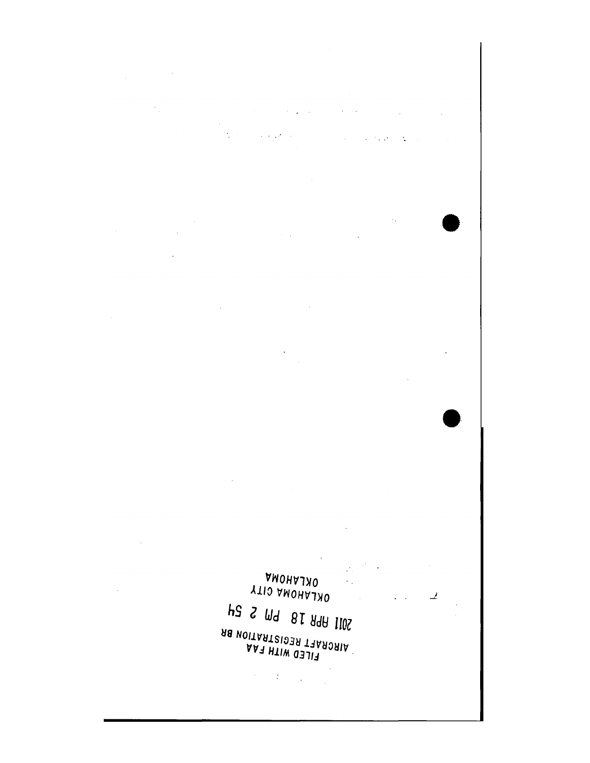$\label{eq:2.1} \frac{1}{\sqrt{2\pi}}\int_{\mathbb{R}^3}\frac{1}{\sqrt{2\pi}}\int_{\mathbb{R}^3}\frac{1}{\sqrt{2\pi}}\int_{\mathbb{R}^3}\frac{1}{\sqrt{2\pi}}\int_{\mathbb{R}^3}\frac{1}{\sqrt{2\pi}}\int_{\mathbb{R}^3}\frac{1}{\sqrt{2\pi}}\frac{1}{\sqrt{2\pi}}\int_{\mathbb{R}^3}\frac{1}{\sqrt{2\pi}}\frac{1}{\sqrt{2\pi}}\frac{1}{\sqrt{2\pi}}\frac{1}{\sqrt{2\pi}}\frac{1}{\sqrt{2\pi}}\$ 

 $\label{eq:2.1} \frac{1}{\sqrt{2}}\sum_{i=1}^n\frac{1}{\sqrt{2}}\left(\frac{1}{\sqrt{2}}\right)^2\left(\frac{1}{\sqrt{2}}\right)^2\left(\frac{1}{\sqrt{2}}\right)^2.$  $\label{eq:2.1} \frac{1}{\sqrt{2\pi}}\left(\frac{1}{\sqrt{2\pi}}\right)^{2} \left(\frac{1}{\sqrt{2\pi}}\right)^{2} \left(\frac{1}{\sqrt{2\pi}}\right)^{2} \left(\frac{1}{\sqrt{2\pi}}\right)^{2} \left(\frac{1}{\sqrt{2\pi}}\right)^{2} \left(\frac{1}{\sqrt{2\pi}}\right)^{2} \left(\frac{1}{\sqrt{2\pi}}\right)^{2} \left(\frac{1}{\sqrt{2\pi}}\right)^{2} \left(\frac{1}{\sqrt{2\pi}}\right)^{2} \left(\frac{1}{\sqrt{2\pi}}\right)^{2$  $\mathcal{A}^{\mathcal{A}}$  and  $\mathcal{A}^{\mathcal{A}}$  are  $\mathcal{A}^{\mathcal{A}}$  . In the contribution of  $\mathcal{A}^{\mathcal{A}}$  $\frac{1}{\sqrt{2}}$  ,  $\frac{1}{\sqrt{2}}$  ,  $\frac{1}{\sqrt{2}}$  ,  $\frac{1}{\sqrt{2}}$ 

 $\label{eq:2.1} \frac{1}{2} \int_{\mathbb{R}^3} \frac{1}{\sqrt{2}} \left( \frac{1}{\sqrt{2}} \frac{1}{\sqrt{2}} \frac{1}{\sqrt{2}} \frac{1}{\sqrt{2}} \frac{1}{\sqrt{2}} \frac{1}{\sqrt{2}} \frac{1}{\sqrt{2}} \frac{1}{\sqrt{2}} \frac{1}{\sqrt{2}} \frac{1}{\sqrt{2}} \frac{1}{\sqrt{2}} \frac{1}{\sqrt{2}} \frac{1}{\sqrt{2}} \frac{1}{\sqrt{2}} \frac{1}{\sqrt{2}} \frac{1}{\sqrt{2}} \frac{1}{\sqrt{2}} \frac{1}{\sqrt{2$ 

 $\mathcal{A}_\bullet$  $\label{eq:2.1} \frac{1}{\sqrt{2\pi}}\int_{\mathbb{R}^3}\frac{1}{\sqrt{2\pi}}\left(\frac{1}{\sqrt{2\pi}}\right)^2\frac{1}{\sqrt{2\pi}}\int_{\mathbb{R}^3}\frac{1}{\sqrt{2\pi}}\frac{1}{\sqrt{2\pi}}\frac{1}{\sqrt{2\pi}}\frac{1}{\sqrt{2\pi}}\frac{1}{\sqrt{2\pi}}\frac{1}{\sqrt{2\pi}}\frac{1}{\sqrt{2\pi}}\frac{1}{\sqrt{2\pi}}\frac{1}{\sqrt{2\pi}}\frac{1}{\sqrt{2\pi}}\frac{1}{\sqrt{2\pi}}\frac{$  $\label{eq:2.1} \mathcal{L}(\mathcal{L}^{\text{max}}_{\mathcal{L}}(\mathcal{L}^{\text{max}}_{\mathcal{L}})) \leq \mathcal{L}(\mathcal{L}^{\text{max}}_{\mathcal{L}}(\mathcal{L}^{\text{max}}_{\mathcal{L}}))$  $\mathcal{L}^{\text{max}}_{\text{max}}$ 

 $\mathcal{L}^{\text{max}}_{\text{max}}$  , where  $\mathcal{L}^{\text{max}}_{\text{max}}$  $\mathcal{L}^{\text{max}}_{\text{max}}$  , where  $\mathcal{L}^{\text{max}}_{\text{max}}$ 

 $\sim$  $\frac{1}{2}$ 

 $\mathcal{L}_{\text{max}}$ 

 $\sim$   $\sim$ 

 $\sim$   $\mu$ 

 $\mathcal{L}^{\text{max}}_{\text{max}}$  and  $\mathcal{L}^{\text{max}}_{\text{max}}$ 

 $\sim 10$ VWOHVTXO  $\mathcal{L}% _{0}=\mathcal{L}_{\mathrm{CL}}\otimes\mathcal{L}_{\mathrm{CL}}$ 

OKLAHOMA CITY  $\mathcal{L}^{\text{max}}$  and  $\mathcal{L}^{\text{max}}$ 42 S M9 81 A9A 1102 AIRCRAFT REGISTRATION BR AAR HIIW OBJIR

 $\label{eq:2} \mathcal{L}^{\text{max}}_{\text{max}} = \mathcal{L}^{\text{max}}_{\text{max}} \left( \mathcal{L}^{\text{max}}_{\text{max}} \right)$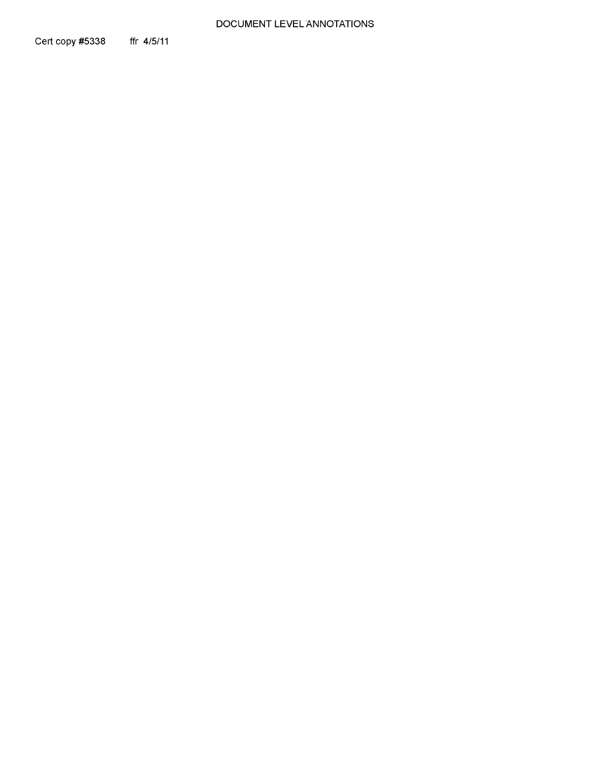### DOCUMENT LEVEL ANNOTATIONS

Cert copy #5338 ffr 4/5/11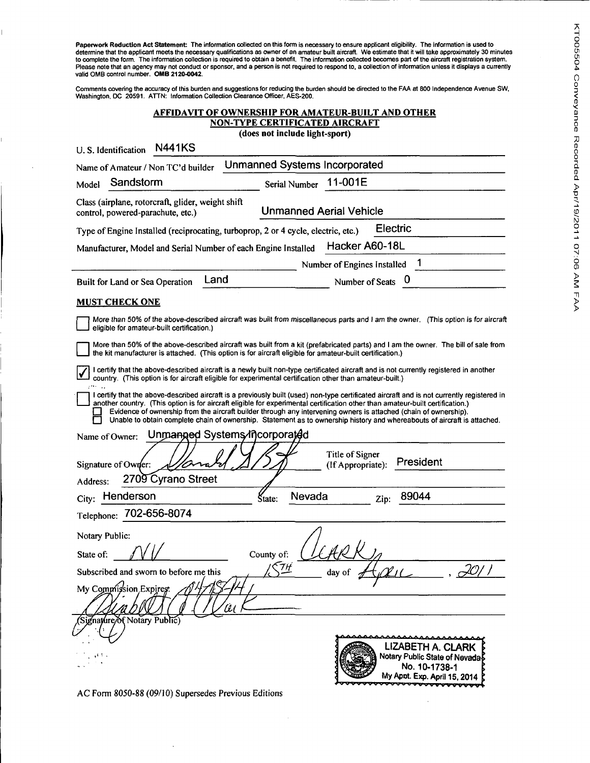Paperwork Reduction Act Statement: The information collected on this form is necessary to ensure applicant eligibility. The information is used to<br>determine that the applicant meets the necessary qualifications as owner of valid OMB control number. **OMB 2120-0042.** 

Comments covering the accuracy of this burden and suggestions for reducing the burden should be directed to the FAA at 800 Independence Avenue SW,<br>Washington, DC 20591. ATTN: Information Collection Clearance Officer, AE

## **AFFIDAVIT OF OWNERSHIP FOR AMATEUR-BUILT AND OTHER NON-TYPE CERTIFICATED AIRCRAFT**

**(does not include light-sport)** 

| <b>N441KS</b><br>U.S. Identification                                                                                                                                                                                                                                                                                                                                                                                                                                                                                         |            |               |                                      |          |                                                                                                      |
|------------------------------------------------------------------------------------------------------------------------------------------------------------------------------------------------------------------------------------------------------------------------------------------------------------------------------------------------------------------------------------------------------------------------------------------------------------------------------------------------------------------------------|------------|---------------|--------------------------------------|----------|------------------------------------------------------------------------------------------------------|
| Name of Amateur / Non TC'd builder                                                                                                                                                                                                                                                                                                                                                                                                                                                                                           |            |               | <b>Unmanned Systems Incorporated</b> |          |                                                                                                      |
| Sandstorm<br>Model                                                                                                                                                                                                                                                                                                                                                                                                                                                                                                           |            | Serial Number | 11-001E                              |          |                                                                                                      |
| Class (airplane, rotorcraft, glider, weight shift<br>control, powered-parachute, etc.)                                                                                                                                                                                                                                                                                                                                                                                                                                       |            |               | <b>Unmanned Aerial Vehicle</b>       |          |                                                                                                      |
| Type of Engine Installed (reciprocating, turboprop, 2 or 4 cycle, electric, etc.)                                                                                                                                                                                                                                                                                                                                                                                                                                            |            |               |                                      | Electric |                                                                                                      |
| Manufacturer, Model and Serial Number of each Engine Installed                                                                                                                                                                                                                                                                                                                                                                                                                                                               |            |               | Hacker A60-18L                       |          |                                                                                                      |
|                                                                                                                                                                                                                                                                                                                                                                                                                                                                                                                              |            |               | Number of Engines Installed          |          |                                                                                                      |
| Land<br>Built for Land or Sea Operation                                                                                                                                                                                                                                                                                                                                                                                                                                                                                      |            |               | Number of Seats 0                    |          |                                                                                                      |
| <b>MUST CHECK ONE</b>                                                                                                                                                                                                                                                                                                                                                                                                                                                                                                        |            |               |                                      |          |                                                                                                      |
| More than 50% of the above-described aircraft was built from miscellaneous parts and I am the owner. (This option is for aircraft<br>eligible for amateur-built certification.)                                                                                                                                                                                                                                                                                                                                              |            |               |                                      |          |                                                                                                      |
| More than 50% of the above-described aircraft was built from a kit (prefabricated parts) and I am the owner. The bill of sale from<br>the kit manufacturer is attached. (This option is for aircraft eligible for amateur-built certification.)                                                                                                                                                                                                                                                                              |            |               |                                      |          |                                                                                                      |
| I certify that the above-described aircraft is a newly built non-type certificated aircraft and is not currently registered in another<br>country. (This option is for aircraft eligible for experimental certification other than amateur-built.)                                                                                                                                                                                                                                                                           |            |               |                                      |          |                                                                                                      |
| I certify that the above-described aircraft is a previously built (used) non-type certificated aircraft and is not currently registered in<br>another country. (This option is for aircraft eligible for experimental certification other than amateur-built certification.)<br>Evidence of ownership from the aircraft builder through any intervening owners is attached (chain of ownership).<br>Unable to obtain complete chain of ownership. Statement as to ownership history and whereabouts of aircraft is attached. |            |               |                                      |          |                                                                                                      |
| Unmanged Systems/incorporated<br>Name of Owner:                                                                                                                                                                                                                                                                                                                                                                                                                                                                              |            |               |                                      |          |                                                                                                      |
| Signature of Owner:                                                                                                                                                                                                                                                                                                                                                                                                                                                                                                          |            |               | Title of Signer<br>(If Appropriate): |          | President                                                                                            |
| 2709 Cyrano Street<br>Address:                                                                                                                                                                                                                                                                                                                                                                                                                                                                                               |            |               |                                      |          |                                                                                                      |
| Henderson<br>City:                                                                                                                                                                                                                                                                                                                                                                                                                                                                                                           | State:     | Nevada        |                                      | Zip:     | 89044                                                                                                |
| Telephone: 702-656-8074                                                                                                                                                                                                                                                                                                                                                                                                                                                                                                      |            |               |                                      |          |                                                                                                      |
| Notary Public:                                                                                                                                                                                                                                                                                                                                                                                                                                                                                                               |            |               |                                      |          |                                                                                                      |
| State of:                                                                                                                                                                                                                                                                                                                                                                                                                                                                                                                    | County of: |               |                                      |          |                                                                                                      |
| Subscribed and sworn to before me this                                                                                                                                                                                                                                                                                                                                                                                                                                                                                       | TН         |               | aay or                               |          | 20I I<br>$v_{\prime\prime}$                                                                          |
| My Commission Expires.                                                                                                                                                                                                                                                                                                                                                                                                                                                                                                       |            |               |                                      |          |                                                                                                      |
| (Signature/of Notary Public)                                                                                                                                                                                                                                                                                                                                                                                                                                                                                                 |            |               |                                      |          |                                                                                                      |
|                                                                                                                                                                                                                                                                                                                                                                                                                                                                                                                              |            |               |                                      |          | LIZABETH A. CLARK<br>Notary Public State of Nevadas<br>No. 10-1738-1<br>My Apot. Exp. April 15, 2014 |

AC Form 8050-88 (09/10) Supersedes Previous Editions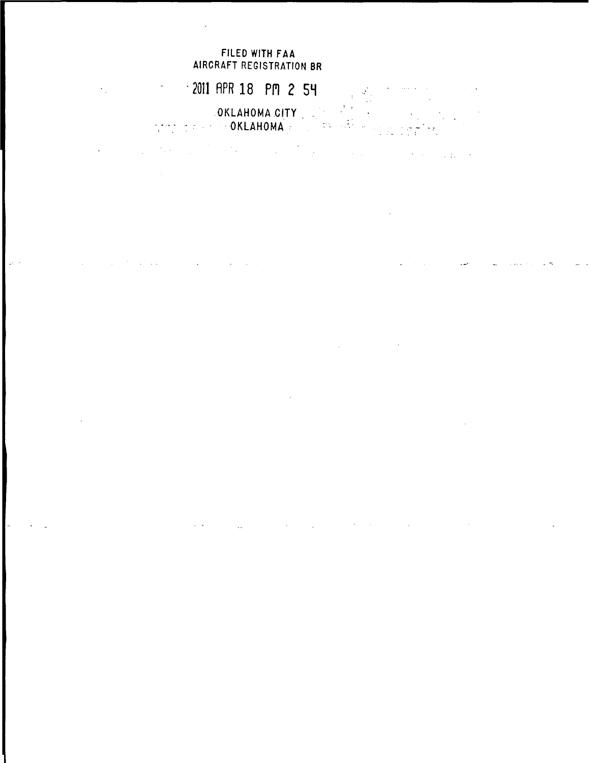# FILED WITH FAA AIRCRAFT REGISTRATION BR

 $\mathcal{L}^{\mathcal{A}}$  and the set of the set of the set of the set of the set of the set of the set of the set of the set of the set of the set of the set of the set of the set of the set of the set of the set of the set of the

 $\mathcal{L}(\mathcal{A})$ 

 $\sim 10$ 

• 2011 RPR 18 PH 2 SH  $\epsilon_{\rm{max}}$ an<br>Transfer .OKLAHOMA.CITY . OKLAHOMA

 $\bar{L}$ 

 $\mathcal{L}^{\mathcal{L}}(\mathcal{L}^{\mathcal{L}})$  and  $\mathcal{L}^{\mathcal{L}}(\mathcal{L}^{\mathcal{L}})$  . The contribution of  $\mathcal{L}^{\mathcal{L}}$ 

 $\mathcal{L}_{\text{max}}$  and  $\mathcal{L}_{\text{max}}$  are the set of the set of the set of the set of  $\mathcal{L}_{\text{max}}$ 

in a

 $\mathcal{L}$ 

 $\sim 10$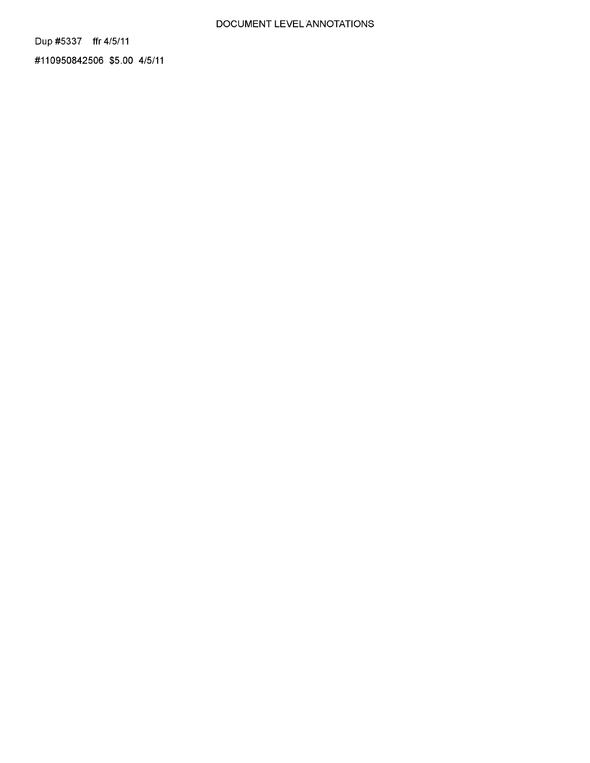### DOCUMENT LEVEL ANNOTATIONS

Dup #5337 ffr 4/5/11

#110950842506 \$5.00 4/5/11